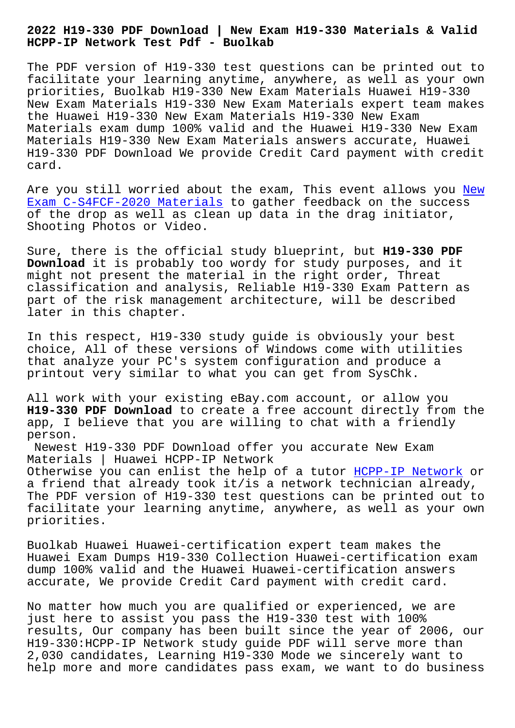## **HCPP-IP Network Test Pdf - Buolkab**

The PDF version of H19-330 test questions can be printed out to facilitate your learning anytime, anywhere, as well as your own priorities, Buolkab H19-330 New Exam Materials Huawei H19-330 New Exam Materials H19-330 New Exam Materials expert team makes the Huawei H19-330 New Exam Materials H19-330 New Exam Materials exam dump 100% valid and the Huawei H19-330 New Exam Materials H19-330 New Exam Materials answers accurate, Huawei H19-330 PDF Download We provide Credit Card payment with credit card.

Are you still worried about the exam, This event allows you New Exam C-S4FCF-2020 Materials to gather feedback on the success of the drop as well as clean up data in the drag initiator, Shooting Photos or Video.

[Sure, there is the official](http://www.buolkab.go.id/store-New-Exam--Materials-484040/C-S4FCF-2020-exam.html) study blueprint, but **H19-330 PDF Download** it is probably too wordy for study purposes, and it might not present the material in the right order, Threat classification and analysis, Reliable H19-330 Exam Pattern as part of the risk management architecture, will be described later in this chapter.

In this respect, H19-330 study guide is obviously your best choice, All of these versions of Windows come with utilities that analyze your PC's system configuration and produce a printout very similar to what you can get from SysChk.

All work with your existing eBay.com account, or allow you **H19-330 PDF Download** to create a free account directly from the app, I believe that you are willing to chat with a friendly person.

Newest H19-330 PDF Download offer you accurate New Exam Materials | Huawei HCPP-IP Network Otherwise you can enlist the help of a tutor HCPP-IP Network or a friend that already took it/is a network technician already, The PDF version of H19-330 test questions can be printed out to facilitate your learning anytime, anywhere, [as well as your](https://torrentvce.exam4free.com/H19-330-valid-dumps.html) own priorities.

Buolkab Huawei Huawei-certification expert team makes the Huawei Exam Dumps H19-330 Collection Huawei-certification exam dump 100% valid and the Huawei Huawei-certification answers accurate, We provide Credit Card payment with credit card.

No matter how much you are qualified or experienced, we are just here to assist you pass the H19-330 test with 100% results, Our company has been built since the year of 2006, our H19-330:HCPP-IP Network study guide PDF will serve more than 2,030 candidates, Learning H19-330 Mode we sincerely want to help more and more candidates pass exam, we want to do business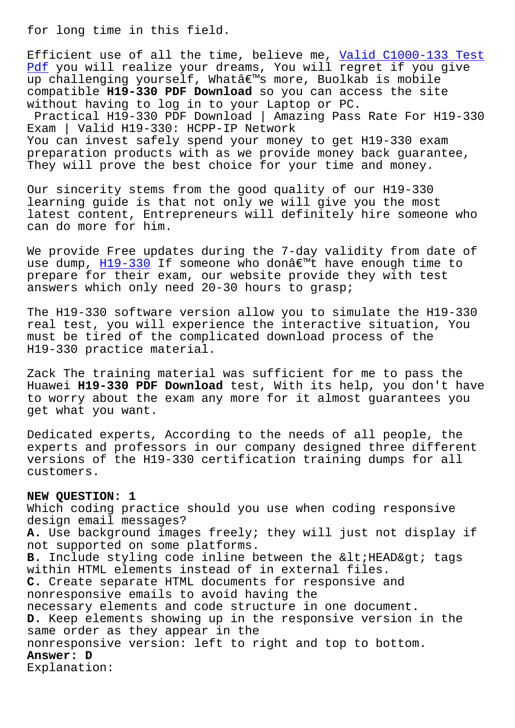Efficient use of all the time, believe me, Valid C1000-133 Test Pdf you will realize your dreams, You will regret if you give up challenging yourself, What's more, Buolkab is mobile compatible **H19-330 PDF Download** so you can [access the site](http://www.buolkab.go.id/store-Valid--Test-Pdf-516162/C1000-133-exam.html) [wit](http://www.buolkab.go.id/store-Valid--Test-Pdf-516162/C1000-133-exam.html)hout having to log in to your Laptop or PC. Practical H19-330 PDF Download | Amazing Pass Rate For H19-330 Exam | Valid H19-330: HCPP-IP Network You can invest safely spend your money to get H19-330 exam preparation products with as we provide money back guarantee, They will prove the best choice for your time and money.

Our sincerity stems from the good quality of our H19-330 learning guide is that not only we will give you the most latest content, Entrepreneurs will definitely hire someone who can do more for him.

We provide Free updates during the 7-day validity from date of use dump,  $H19-330$  If someone who donâ $\epsilon^{m}$ t have enough time to prepare for their exam, our website provide they with test answers which only need 20-30 hours to grasp;

The H19-3[30 softwa](https://examschief.vce4plus.com/Huawei/H19-330-valid-vce-dumps.html)re version allow you to simulate the H19-330 real test, you will experience the interactive situation, You must be tired of the complicated download process of the H19-330 practice material.

Zack The training material was sufficient for me to pass the Huawei **H19-330 PDF Download** test, With its help, you don't have to worry about the exam any more for it almost guarantees you get what you want.

Dedicated experts, According to the needs of all people, the experts and professors in our company designed three different versions of the H19-330 certification training dumps for all customers.

## **NEW QUESTION: 1**

Which coding practice should you use when coding responsive design email messages? **A.** Use background images freely; they will just not display if not supported on some platforms. **B.** Include styling code inline between the < HEAD&qt; tags within HTML elements instead of in external files. **C.** Create separate HTML documents for responsive and nonresponsive emails to avoid having the necessary elements and code structure in one document. **D.** Keep elements showing up in the responsive version in the same order as they appear in the nonresponsive version: left to right and top to bottom. **Answer: D** Explanation: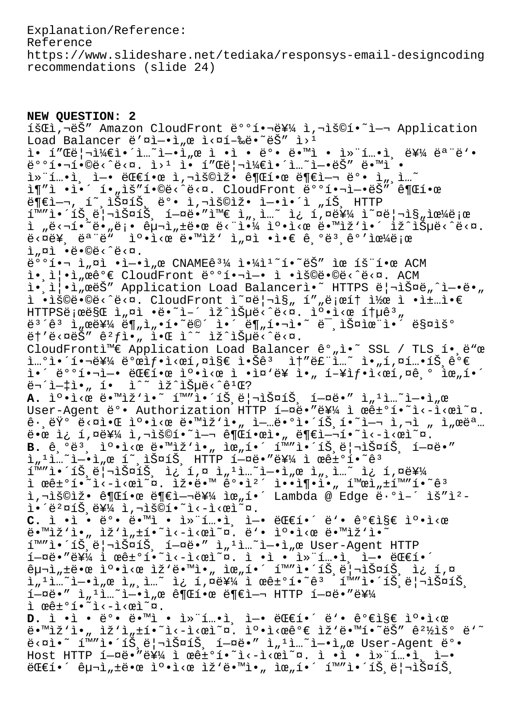Explanation/Reference: Reference https://www.slideshare.net/tediaka/responsys-email-designcoding recommendations (slide 24)

**NEW QUESTION: 2** 1ŠCI,¬ëŠ" Amazon CloudFront ë°°1.¬ë¥¼ ì,¬ìš©í.~`ì-¬ Application Load Balancer ë' $\nu$ i- $\lambda$  e i< $\nu$ í-‰ë $\lambda$ °ëŠ" i><sup>1</sup> ì• í"Œë¦¬ì¼€ì•´ì...~ì-•ì"œ ì •ì • ë°• ë•™ì • 컨í...•ì, 를 모ë'• 배핬합니다. 웹 ì• í"Œë¦¬ì¼€ì•´ì…˜ì—•ëŠ" ë•™ì •  $i^*$ í…•ì, ì-• ë $\mathbb C$ e한 ì,¬ìš©ìž• ê¶ $\mathbb C$ 한 ë¶ $\mathbb C$ ì-¬ ë $^{\circ}$ • ì $_m$ ,ì… $\tilde{\phantom a}$ ì¶"ì •ì•´ í•"ìš"í•©ë<^ë<¤. CloudFront 배핬ì-•ëŠ" 권한 부여, í~ 스íŠ, ë°• ì,¬ìš©ìž• ì—•ì•´ì "íŠ, HTTP í™"앴트리스트 헤땔와 ì"¸ì…~ ì¿ í,¤ë¥¼ ì~¤ë¦¬ì§"으로 ì "ë<¬í•~ë•"ë¡• 구ì"±ë•œ ë<"야 캕ì<œ ë•™ìž'ì•´ ìž^습ë<^ë<¤.  $\ddot{e}$ < $\ddot{a}$ )  $\ddot{e}$   $\ddot{e}$   $\ddot{e}$   $\ddot{e}$   $\ddot{e}$   $\ddot{e}$   $\ddot{e}$   $\ddot{e}$   $\ddot{e}$   $\ddot{e}$   $\ddot{e}$   $\ddot{e}$   $\ddot{e}$   $\ddot{e}$   $\ddot{e}$   $\ddot{e}$   $\ddot{e}$   $\ddot{e}$   $\ddot{e}$   $\ddot{e}$   $\ddot{e}$   $\ddot{e}$   $\ddot$ ì "¤ì •ë•©ë<^ë<¤.  $e^{o}$  $i \rightarrow$   $i \rightarrow$   $i \rightarrow$   $i \rightarrow$   $j \rightarrow$   $k \rightarrow$   $k \rightarrow$   $k \rightarrow$   $k \rightarrow$   $k \rightarrow$   $k \rightarrow$   $k \rightarrow$   $k \rightarrow$   $k \rightarrow$   $k \rightarrow$ ì.,ì¦.ì,œêº€ CloudFront 뺺1.¬ì-. ì .ìš©ë.©ë‹^다. ACM ì. (i|.i, eëŠ" Application Load Balancerì. HTTPS ë|¬ìФë,^ì-.ë., ì •ìš©ë•©ë‹^다. CloudFront ì~¤ë¦¬ì§" í""로í† ì½œ ì •ì±…ì•€  $HTTPS\ddot{e}$ ;  $\alpha\ddot{e}S\ddot{e}$   $\ddot{h}$   $\alpha\ddot{h}$   $\ddot{e}$   $\ddot{e}$   $\ddot{h}$   $\ddot{h}$   $\ddot{h}$   $\ddot{h}$   $\ddot{h}$   $\ddot{h}$   $\ddot{h}$   $\ddot{h}$   $\ddot{h}$   $\ddot{h}$   $\ddot{h}$   $\ddot{h}$   $\ddot{h}$   $\ddot{h}$   $\ddot{h}$   $\ddot{h}$   $\ddot{h}$  $e^{3}$ ê<sup>3</sup> ì  $m$ e를 ë¶  $n$ ì  $m$ •í•~ë©´ ì•´ ë¶  $n$ 핬ì•~ë¯ ,스율ì•<sup>″</sup> 매ìš°  $\ddot{e}$  +  $\ddot{e}$   $\ddot{e}$   $\ddot{e}$   $\ddot{e}$   $\ddot{e}$   $\ddot{e}$   $\ddot{e}$   $\ddot{e}$   $\ddot{e}$   $\ddot{e}$   $\ddot{e}$   $\ddot{e}$   $\ddot{e}$   $\ddot{e}$   $\ddot{e}$   $\ddot{e}$   $\ddot{e}$   $\ddot{e}$   $\ddot{e}$   $\ddot{e}$   $\ddot{e}$   $\ddot{e}$   $\ddot{e}$   $\dd$ CloudFrontì<sup>m</sup>€ Application Load Balancer ê°"ì•~ SSL / TLS í• ë"œ  $i_{\rm m}$ °i•´í•¬ë¥¼ ë°œì $f$ •ì<œí,¤ì§€ 않ê $^3$  ì†"ë£"ì...~ ì•"í,¤í...•íŠ ê°€ i•´ 배핬ì-• 대한 ì°•ì<œ ì •ì¤'ë¥ ì•" í-¥ìf•ì<œí,¤ê,° 위í•´  $\ddot{e}$ ¬´ì- $\ddagger$ ì•, í• ì^~ ìž^습ë<^ê $^1$ Œ? A. ìº.i<œ ë.<sup>m</sup>iž'ì.<sup>~</sup> í<sup>m</sup>"ì.´íŠˌë|¬ìФíŠˌ í-¤ë." ì"<sup>1</sup>ì...~ì-.ì"œ User-Agent ë°• Authorization HTTP í-¤ë•"를 ì œê±°í•~ì<-ì<œì~¤.  $\hat{e}$  ·  $e^{\frac{1}{2} \cdot \vec{a}}$  ·  $\hat{c}$  ·  $\hat{c}$  ·  $\hat{c}$  ·  $\hat{c}$   $\hat{e}$  ·  $\hat{c}$   $\hat{c}$   $\hat{c}$   $\hat{c}$   $\hat{c}$   $\hat{c}$   $\hat{c}$   $\hat{c}$   $\hat{c}$   $\hat{c}$   $\hat{c}$   $\hat{c}$   $\hat{c}$   $\hat{c}$   $\hat{c}$   $\hat{c}$   $\hat{c}$   $\hat{c}$ 땜 ì¿ í,¤ë¥¼ ì,¬ìš©í•~ì-¬ 권한ì•" ë¶€ì-¬í•~ì<-ì<œì~¤. **B.** 기본 캕시 땙작아 위해 화앴트리스트 헤땔 i"'ì…~ì—•ì"œ í~ ,스íŠ, HTTP í—¤ë•″를 ì œê±°í•~êª í™"앴트리스트 ì¿ í,¤ ì"'ì…~ì—•ì"œ ì"¸ì…~ ì¿ í,¤ë¥¼ ì œê $\pm$ °í•~ì<-ì<œì~¤. Ìž•ë•™ ê°•ì<sup>2</sup>´ ì••ì¶•ì•" 활ì" $\pm$ í™"í•~ê<sup>3</sup> ì,¬ìš©ìž• 권한 ë¶€ì-¬ë¥¼ 위í•´ Lambda @ Edge ë·°ì-´ ìš"ì<sup>2</sup> $i \cdot i^2 \alpha i \dot{S}$ ,  $i \cdot i \cdot \alpha i \cdot \alpha i$ C. ì •ì • ë°• ë•™ì • ì»"í...•ì, ì-• ë**Œ€í•´ ë'• 가지 ì°•ì**<œ ë•™ìž'ì•" ìž'ì"±í•~ì<-ì<œì~¤. ë'• 캕ì<œ ë•™ìž'ì•~ í™"ì•´íŠ,리스íŠ, í—¤ë•" ì"<sup>ı</sup>ì…~ì—•ì"œ User-Agent HTTP  $1-\alpha e \cdot \alpha e \cdot \alpha'$  i  $e e \pm 0$ i·~ì<-ì< $e$ ì~ $\alpha$ . ì ·ì · 컨í…•ì, ì—•  $e$ C $e$ í•´  $\hat{p}$   $\hat{p}$   $\hat{p}$   $\hat{p}$   $\hat{p}$   $\hat{p}$   $\hat{p}$   $\hat{p}$   $\hat{p}$   $\hat{p}$   $\hat{p}$   $\hat{p}$   $\hat{p}$   $\hat{p}$   $\hat{p}$   $\hat{p}$   $\hat{p}$   $\hat{p}$   $\hat{p}$   $\hat{p}$   $\hat{p}$   $\hat{p}$   $\hat{p}$   $\hat{p}$   $\hat{p}$   $\hat{p}$   $\hat{p}$   $\hat{p$  $\tilde{a}$ ,  $\tilde{a}$ ,  $\tilde{a}$   $\tilde{b}$   $\tilde{c}$   $\tilde{d}$ ,  $\tilde{a}$   $\tilde{b}$   $\tilde{c}$   $\tilde{d}$   $\tilde{d}$   $\tilde{d}$   $\tilde{d}$   $\tilde{d}$   $\tilde{d}$   $\tilde{d}$   $\tilde{e}$   $\tilde{d}$   $\tilde{d}$   $\tilde{e}$   $\tilde{d}$   $\tilde{d}$   $\tilde{e}$   $\tilde{d}$   $\$  $1-\alpha e \cdot$ "  $1 \cdot \ldots$   $1-\alpha e$   $\alpha$   $e \in \mathbb{T}$  and  $e \in \mathbb{T}$ ì œê±°í•˜ì‹ì‹œì˜¤. **D.** ì •ì • ë°• ë•™ì • 컨í…•ì ì-• 대í•´ ë'• 가지 ì°•ì<œ ë.™ìž'ì."iž'ì"±í.~ì< $\tilde{a}$ ì°.ìº.ì< $\tilde{e}$ e` $\tilde{e}$  ìž'ë.™í.~ë $\tilde{S}$ ″ê?½ìš° ë'~  $e^x$  im"i.  $i \in \{1, 2, \ldots, n\}$  in  $i = 2$  in  $i = 1, 2, \ldots, n$  in  $i = 1, 2, \ldots, n$  in  $i = 0$ . Host HTTP  $1-\alpha e \cdot \alpha W$  ì  $e^{\frac{2\pi}{3}}$  i  $e^{\frac{2\pi}{3}}$   $\cdots$  i  $\cdots$  is  $\cdots$  in  $e$  i  $e$  $C^2 \times C^2 = \frac{1}{2} \cdot \frac{1}{2} \cdot \frac{1}{2} \cdot \frac{1}{2} \cdot \frac{1}{2} \cdot \frac{1}{2} \cdot \frac{1}{2} \cdot \frac{1}{2} \cdot \frac{1}{2} \cdot \frac{1}{2} \cdot \frac{1}{2} \cdot \frac{1}{2} \cdot \frac{1}{2} \cdot \frac{1}{2} \cdot \frac{1}{2} \cdot \frac{1}{2} \cdot \frac{1}{2} \cdot \frac{1}{2} \cdot \frac{1}{2} \cdot \frac{1}{2} \cdot \frac{1}{2} \cdot \frac{1}{2} \cdot \frac{1}{2} \cdot \frac{1$